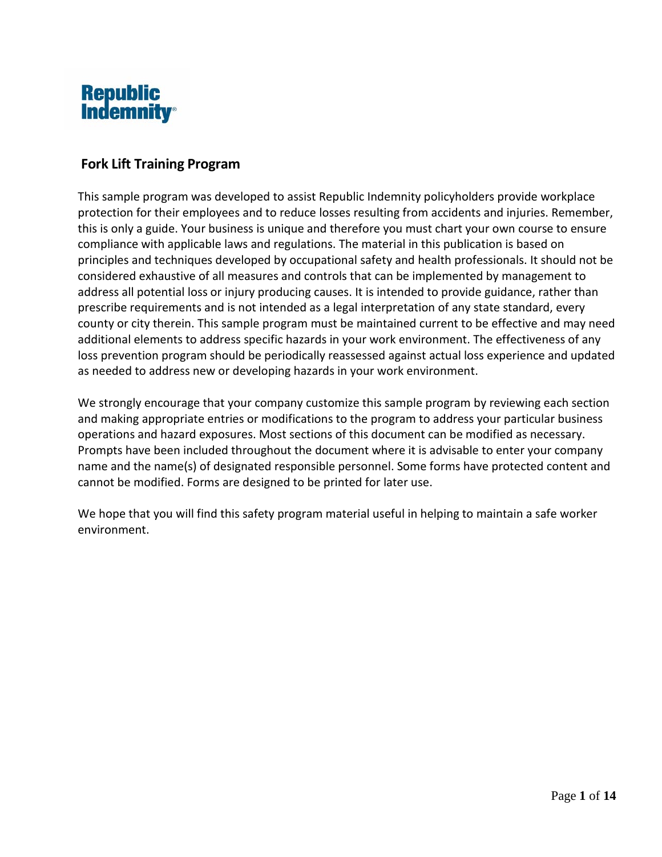

## **Fork Lift Training Program**

This sample program was developed to assist Republic Indemnity policyholders provide workplace protection for their employees and to reduce losses resulting from accidents and injuries. Remember, this is only a guide. Your business is unique and therefore you must chart your own course to ensure compliance with applicable laws and regulations. The material in this publication is based on principles and techniques developed by occupational safety and health professionals. It should not be considered exhaustive of all measures and controls that can be implemented by management to address all potential loss or injury producing causes. It is intended to provide guidance, rather than prescribe requirements and is not intended as a legal interpretation of any state standard, every county or city therein. This sample program must be maintained current to be effective and may need additional elements to address specific hazards in your work environment. The effectiveness of any loss prevention program should be periodically reassessed against actual loss experience and updated as needed to address new or developing hazards in your work environment.

We strongly encourage that your company customize this sample program by reviewing each section and making appropriate entries or modifications to the program to address your particular business operations and hazard exposures. Most sections of this document can be modified as necessary. Prompts have been included throughout the document where it is advisable to enter your company name and the name(s) of designated responsible personnel. Some forms have protected content and cannot be modified. Forms are designed to be printed for later use.

We hope that you will find this safety program material useful in helping to maintain a safe worker environment.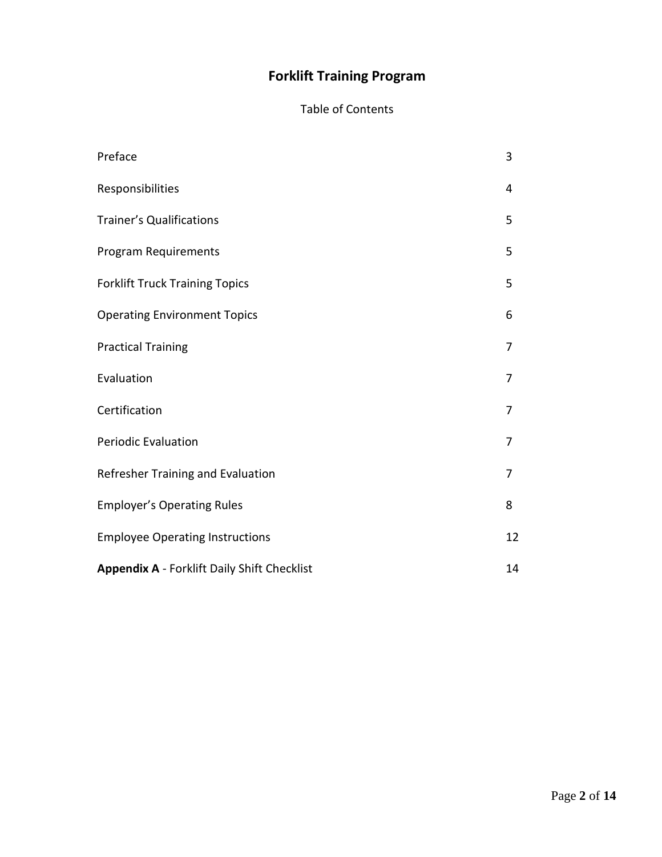# **Forklift Training Program**

# Table of Contents

| Preface                                            | 3  |
|----------------------------------------------------|----|
| Responsibilities                                   | 4  |
| <b>Trainer's Qualifications</b>                    | 5  |
| <b>Program Requirements</b>                        | 5  |
| <b>Forklift Truck Training Topics</b>              | 5  |
| <b>Operating Environment Topics</b>                | 6  |
| <b>Practical Training</b>                          | 7  |
| Evaluation                                         | 7  |
| Certification                                      | 7  |
| <b>Periodic Evaluation</b>                         | 7  |
| Refresher Training and Evaluation                  | 7  |
| <b>Employer's Operating Rules</b>                  | 8  |
| <b>Employee Operating Instructions</b>             | 12 |
| <b>Appendix A - Forklift Daily Shift Checklist</b> | 14 |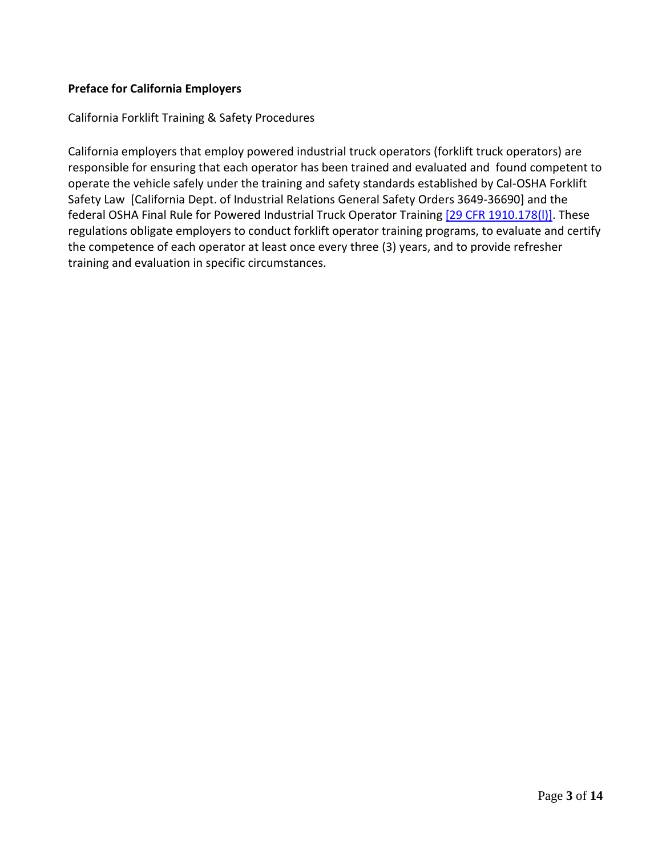## **Preface for California Employers**

California Forklift Training & Safety Procedures

California employers that employ powered industrial truck operators (forklift truck operators) are responsible for ensuring that each operator has been trained and evaluated and found competent to operate the vehicle safely under the training and safety standards established by Cal-OSHA Forklift Safety Law [California Dept. of Industrial Relations General Safety Orders 3649-36690] and the federal OSHA Final Rule for Powered Industrial Truck Operator Training [29 CFR 1910.178(I)]. These regulations obligate employers to conduct forklift operator training programs, to evaluate and certify the competence of each operator at least once every three (3) years, and to provide refresher training and evaluation in specific circumstances.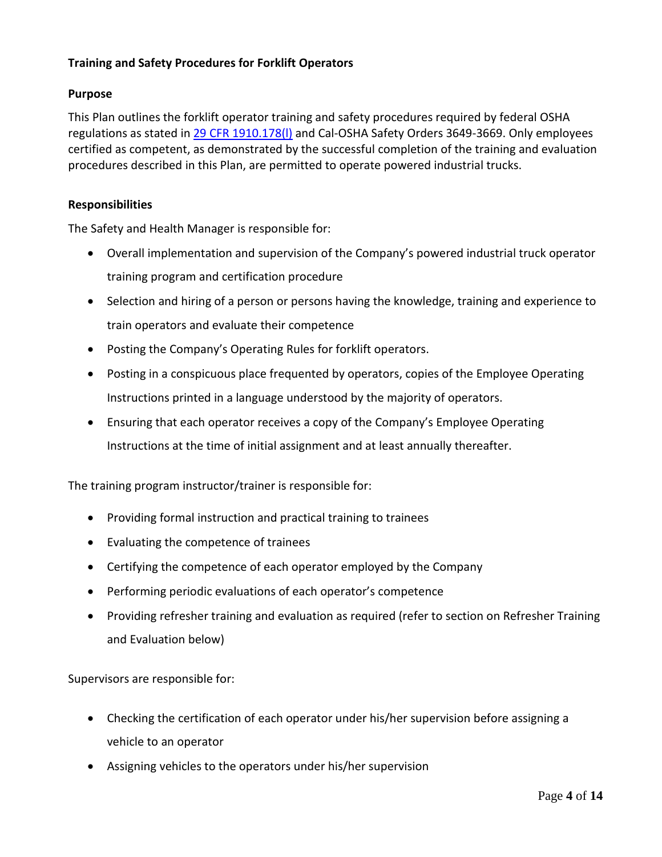## **Training and Safety Procedures for Forklift Operators**

## **Purpose**

This Plan outlines the forklift operator training and safety procedures required by federal OSHA regulations as stated in [29 CFR 1910.178\(l\)](http://www.osha.gov/pls/oshaweb/owadisp.show_document?p_table=STANDARDS&p_id=9828) and Cal-OSHA Safety Orders 3649-3669. Only employees certified as competent, as demonstrated by the successful completion of the training and evaluation procedures described in this Plan, are permitted to operate powered industrial trucks.

#### **Responsibilities**

The Safety and Health Manager is responsible for:

- Overall implementation and supervision of the Company's powered industrial truck operator training program and certification procedure
- Selection and hiring of a person or persons having the knowledge, training and experience to train operators and evaluate their competence
- Posting the Company's Operating Rules for forklift operators.
- Posting in a conspicuous place frequented by operators, copies of the Employee Operating Instructions printed in a language understood by the majority of operators.
- Ensuring that each operator receives a copy of the Company's Employee Operating Instructions at the time of initial assignment and at least annually thereafter.

The training program instructor/trainer is responsible for:

- Providing formal instruction and practical training to trainees
- Evaluating the competence of trainees
- Certifying the competence of each operator employed by the Company
- Performing periodic evaluations of each operator's competence
- Providing refresher training and evaluation as required (refer to section on Refresher Training and Evaluation below)

Supervisors are responsible for:

- Checking the certification of each operator under his/her supervision before assigning a vehicle to an operator
- Assigning vehicles to the operators under his/her supervision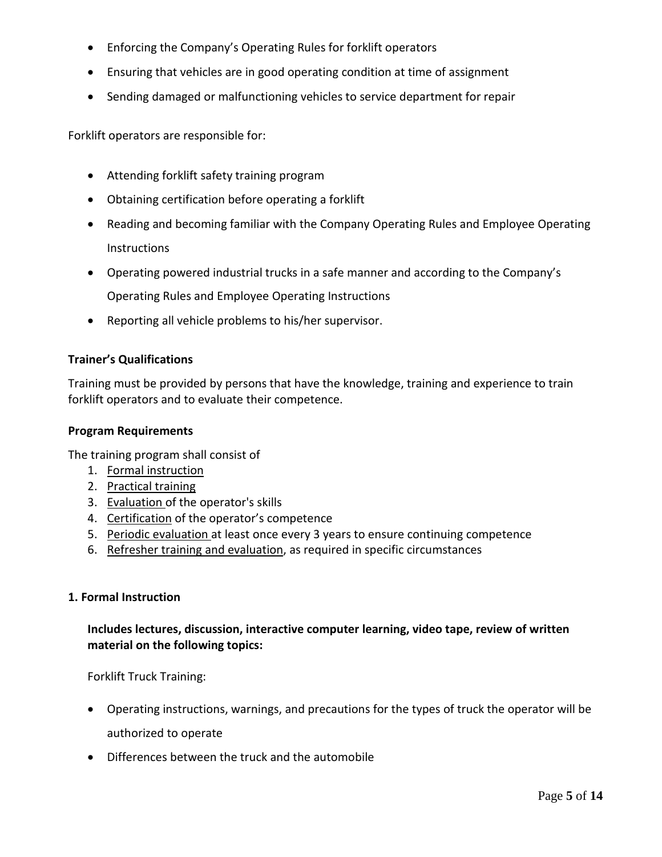- Enforcing the Company's Operating Rules for forklift operators
- Ensuring that vehicles are in good operating condition at time of assignment
- Sending damaged or malfunctioning vehicles to service department for repair

Forklift operators are responsible for:

- Attending forklift safety training program
- Obtaining certification before operating a forklift
- Reading and becoming familiar with the Company Operating Rules and Employee Operating Instructions
- Operating powered industrial trucks in a safe manner and according to the Company's Operating Rules and Employee Operating Instructions
- Reporting all vehicle problems to his/her supervisor.

## **Trainer's Qualifications**

Training must be provided by persons that have the knowledge, training and experience to train forklift operators and to evaluate their competence.

#### **Program Requirements**

The training program shall consist of

- 1. Formal instruction
- 2. Practical training
- 3. Evaluation of the operator's skills
- 4. Certification of the operator's competence
- 5. Periodic evaluation at least once every 3 years to ensure continuing competence
- 6. Refresher training and evaluation, as required in specific circumstances

#### **1. Formal Instruction**

## **Includes lectures, discussion, interactive computer learning, video tape, review of written material on the following topics:**

Forklift Truck Training:

- Operating instructions, warnings, and precautions for the types of truck the operator will be authorized to operate
- Differences between the truck and the automobile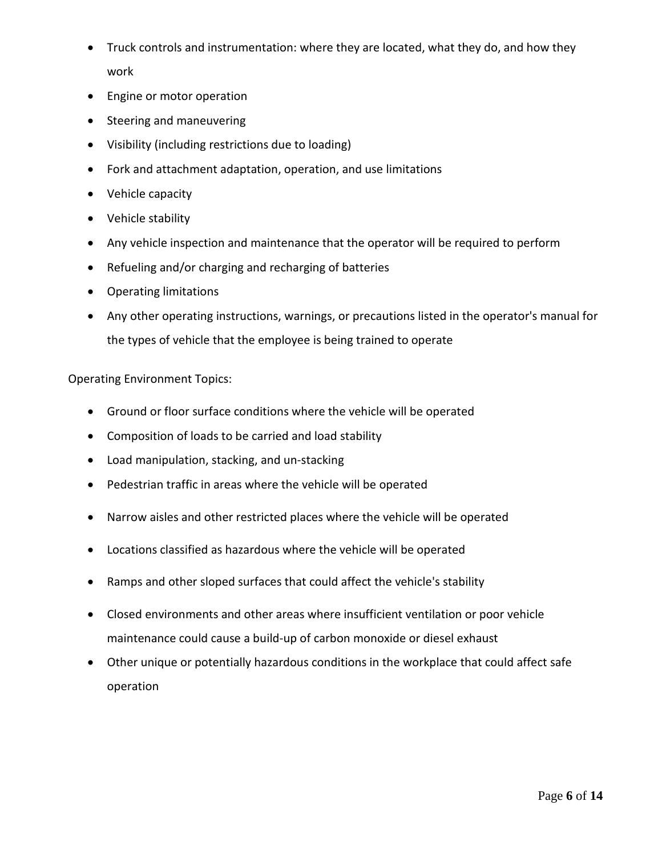- Truck controls and instrumentation: where they are located, what they do, and how they work
- Engine or motor operation
- Steering and maneuvering
- Visibility (including restrictions due to loading)
- Fork and attachment adaptation, operation, and use limitations
- Vehicle capacity
- Vehicle stability
- Any vehicle inspection and maintenance that the operator will be required to perform
- Refueling and/or charging and recharging of batteries
- Operating limitations
- Any other operating instructions, warnings, or precautions listed in the operator's manual for the types of vehicle that the employee is being trained to operate

## Operating Environment Topics:

- Ground or floor surface conditions where the vehicle will be operated
- Composition of loads to be carried and load stability
- Load manipulation, stacking, and un-stacking
- Pedestrian traffic in areas where the vehicle will be operated
- Narrow aisles and other restricted places where the vehicle will be operated
- Locations classified as hazardous where the vehicle will be operated
- Ramps and other sloped surfaces that could affect the vehicle's stability
- Closed environments and other areas where insufficient ventilation or poor vehicle maintenance could cause a build-up of carbon monoxide or diesel exhaust
- Other unique or potentially hazardous conditions in the workplace that could affect safe operation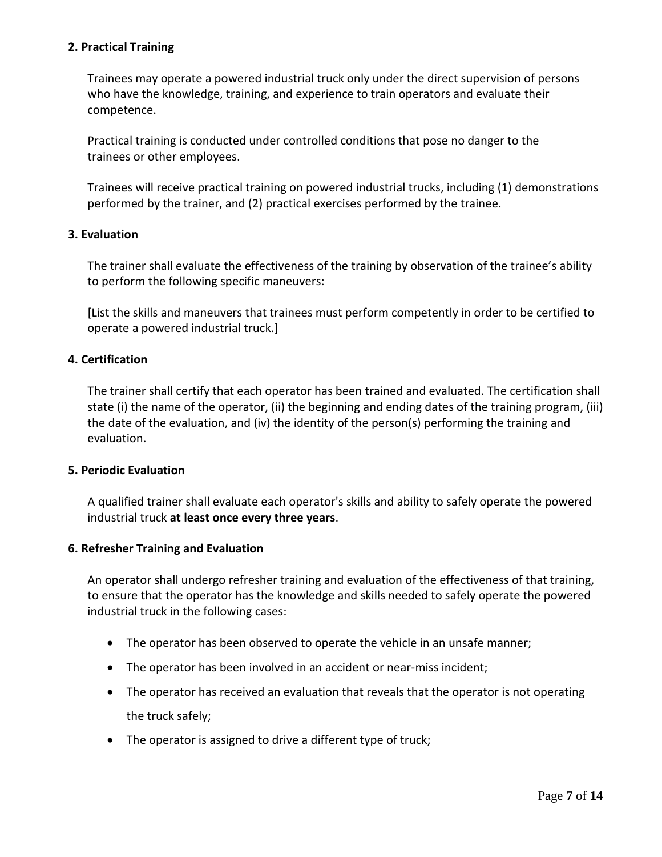## **2. Practical Training**

Trainees may operate a powered industrial truck only under the direct supervision of persons who have the knowledge, training, and experience to train operators and evaluate their competence.

Practical training is conducted under controlled conditions that pose no danger to the trainees or other employees.

Trainees will receive practical training on powered industrial trucks, including (1) demonstrations performed by the trainer, and (2) practical exercises performed by the trainee.

## **3. Evaluation**

The trainer shall evaluate the effectiveness of the training by observation of the trainee's ability to perform the following specific maneuvers:

[List the skills and maneuvers that trainees must perform competently in order to be certified to operate a powered industrial truck.]

## **4. Certification**

The trainer shall certify that each operator has been trained and evaluated. The certification shall state (i) the name of the operator, (ii) the beginning and ending dates of the training program, (iii) the date of the evaluation, and (iv) the identity of the person(s) performing the training and evaluation.

## **5. Periodic Evaluation**

A qualified trainer shall evaluate each operator's skills and ability to safely operate the powered industrial truck **at least once every three years**.

#### **6. Refresher Training and Evaluation**

An operator shall undergo refresher training and evaluation of the effectiveness of that training, to ensure that the operator has the knowledge and skills needed to safely operate the powered industrial truck in the following cases:

- The operator has been observed to operate the vehicle in an unsafe manner;
- The operator has been involved in an accident or near-miss incident;
- The operator has received an evaluation that reveals that the operator is not operating the truck safely;
- The operator is assigned to drive a different type of truck;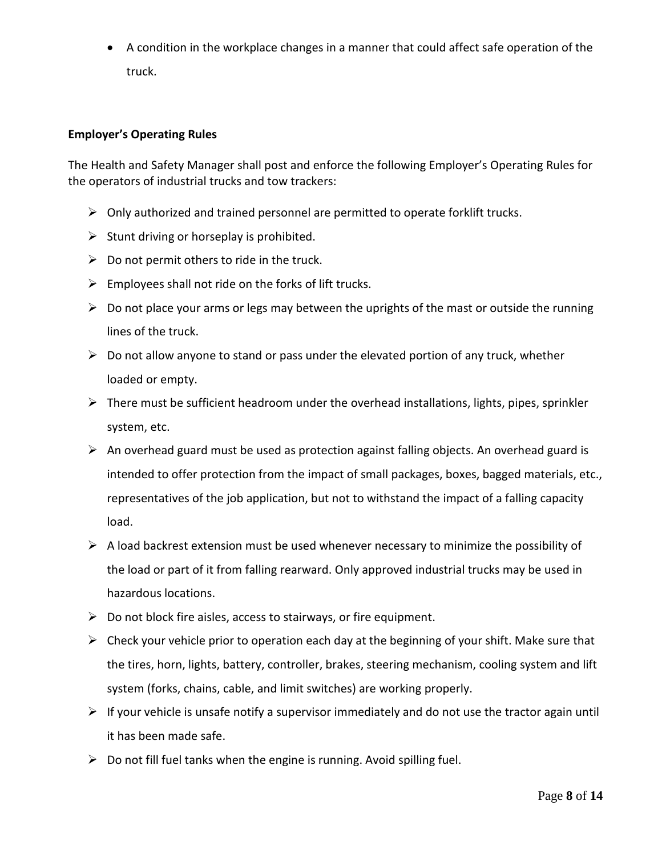• A condition in the workplace changes in a manner that could affect safe operation of the truck.

## **Employer's Operating Rules**

The Health and Safety Manager shall post and enforce the following Employer's Operating Rules for the operators of industrial trucks and tow trackers:

- $\triangleright$  Only authorized and trained personnel are permitted to operate forklift trucks.
- $\triangleright$  Stunt driving or horseplay is prohibited.
- $\triangleright$  Do not permit others to ride in the truck.
- $\triangleright$  Employees shall not ride on the forks of lift trucks.
- $\triangleright$  Do not place your arms or legs may between the uprights of the mast or outside the running lines of the truck.
- $\triangleright$  Do not allow anyone to stand or pass under the elevated portion of any truck, whether loaded or empty.
- $\triangleright$  There must be sufficient headroom under the overhead installations, lights, pipes, sprinkler system, etc.
- $\triangleright$  An overhead guard must be used as protection against falling objects. An overhead guard is intended to offer protection from the impact of small packages, boxes, bagged materials, etc., representatives of the job application, but not to withstand the impact of a falling capacity load.
- $\triangleright$  A load backrest extension must be used whenever necessary to minimize the possibility of the load or part of it from falling rearward. Only approved industrial trucks may be used in hazardous locations.
- $\triangleright$  Do not block fire aisles, access to stairways, or fire equipment.
- $\triangleright$  Check your vehicle prior to operation each day at the beginning of your shift. Make sure that the tires, horn, lights, battery, controller, brakes, steering mechanism, cooling system and lift system (forks, chains, cable, and limit switches) are working properly.
- $\triangleright$  If your vehicle is unsafe notify a supervisor immediately and do not use the tractor again until it has been made safe.
- $\triangleright$  Do not fill fuel tanks when the engine is running. Avoid spilling fuel.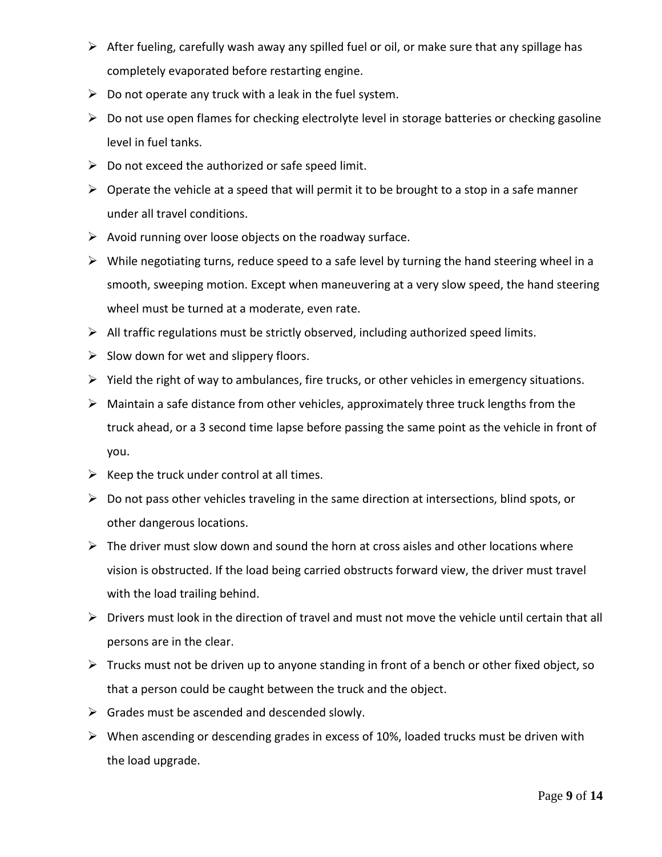- $\triangleright$  After fueling, carefully wash away any spilled fuel or oil, or make sure that any spillage has completely evaporated before restarting engine.
- $\triangleright$  Do not operate any truck with a leak in the fuel system.
- $\triangleright$  Do not use open flames for checking electrolyte level in storage batteries or checking gasoline level in fuel tanks.
- $\triangleright$  Do not exceed the authorized or safe speed limit.
- $\triangleright$  Operate the vehicle at a speed that will permit it to be brought to a stop in a safe manner under all travel conditions.
- $\triangleright$  Avoid running over loose objects on the roadway surface.
- $\triangleright$  While negotiating turns, reduce speed to a safe level by turning the hand steering wheel in a smooth, sweeping motion. Except when maneuvering at a very slow speed, the hand steering wheel must be turned at a moderate, even rate.
- $\triangleright$  All traffic regulations must be strictly observed, including authorized speed limits.
- $\triangleright$  Slow down for wet and slippery floors.
- $\triangleright$  Yield the right of way to ambulances, fire trucks, or other vehicles in emergency situations.
- $\triangleright$  Maintain a safe distance from other vehicles, approximately three truck lengths from the truck ahead, or a 3 second time lapse before passing the same point as the vehicle in front of you.
- $\triangleright$  Keep the truck under control at all times.
- $\triangleright$  Do not pass other vehicles traveling in the same direction at intersections, blind spots, or other dangerous locations.
- $\triangleright$  The driver must slow down and sound the horn at cross aisles and other locations where vision is obstructed. If the load being carried obstructs forward view, the driver must travel with the load trailing behind.
- $\triangleright$  Drivers must look in the direction of travel and must not move the vehicle until certain that all persons are in the clear.
- $\triangleright$  Trucks must not be driven up to anyone standing in front of a bench or other fixed object, so that a person could be caught between the truck and the object.
- $\triangleright$  Grades must be ascended and descended slowly.
- $\triangleright$  When ascending or descending grades in excess of 10%, loaded trucks must be driven with the load upgrade.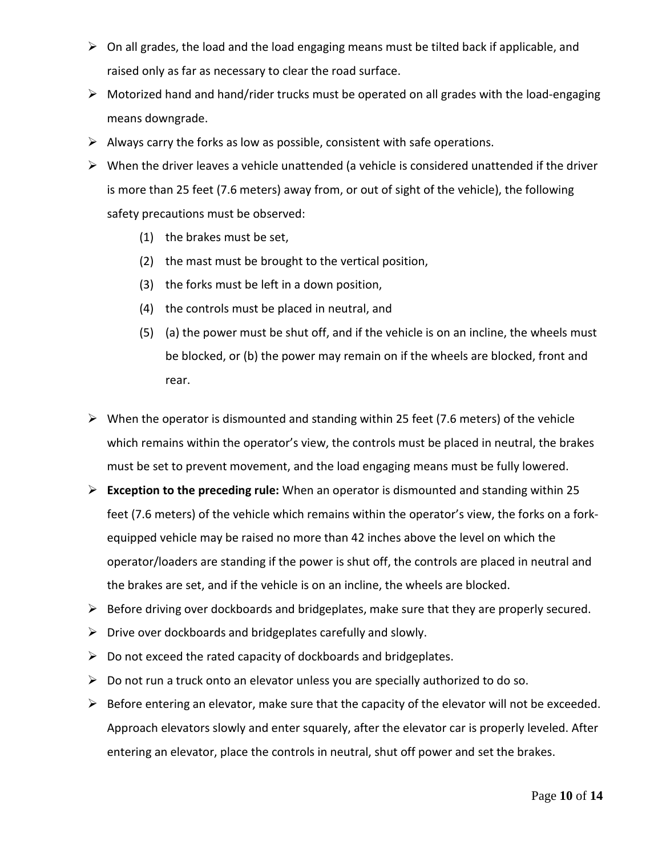- $\triangleright$  On all grades, the load and the load engaging means must be tilted back if applicable, and raised only as far as necessary to clear the road surface.
- Motorized hand and hand/rider trucks must be operated on all grades with the load-engaging means downgrade.
- $\triangleright$  Always carry the forks as low as possible, consistent with safe operations.
- $\triangleright$  When the driver leaves a vehicle unattended (a vehicle is considered unattended if the driver is more than 25 feet (7.6 meters) away from, or out of sight of the vehicle), the following safety precautions must be observed:
	- (1) the brakes must be set,
	- (2) the mast must be brought to the vertical position,
	- (3) the forks must be left in a down position,
	- (4) the controls must be placed in neutral, and
	- (5) (a) the power must be shut off, and if the vehicle is on an incline, the wheels must be blocked, or (b) the power may remain on if the wheels are blocked, front and rear.
- $\triangleright$  When the operator is dismounted and standing within 25 feet (7.6 meters) of the vehicle which remains within the operator's view, the controls must be placed in neutral, the brakes must be set to prevent movement, and the load engaging means must be fully lowered.
- **Exception to the preceding rule:** When an operator is dismounted and standing within 25 feet (7.6 meters) of the vehicle which remains within the operator's view, the forks on a forkequipped vehicle may be raised no more than 42 inches above the level on which the operator/loaders are standing if the power is shut off, the controls are placed in neutral and the brakes are set, and if the vehicle is on an incline, the wheels are blocked.
- $\triangleright$  Before driving over dockboards and bridgeplates, make sure that they are properly secured.
- $\triangleright$  Drive over dockboards and bridgeplates carefully and slowly.
- $\triangleright$  Do not exceed the rated capacity of dockboards and bridgeplates.
- $\triangleright$  Do not run a truck onto an elevator unless you are specially authorized to do so.
- $\triangleright$  Before entering an elevator, make sure that the capacity of the elevator will not be exceeded. Approach elevators slowly and enter squarely, after the elevator car is properly leveled. After entering an elevator, place the controls in neutral, shut off power and set the brakes.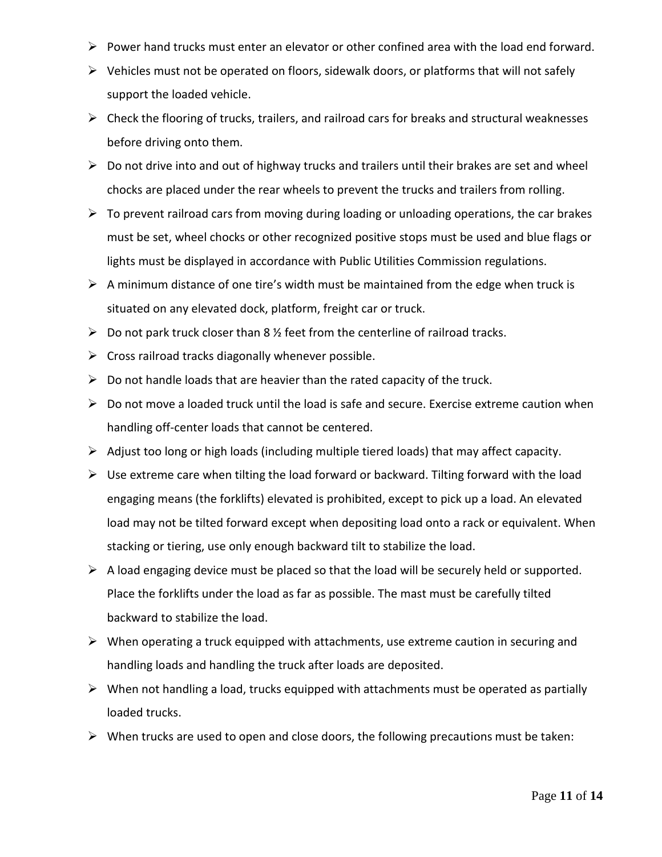- $\triangleright$  Power hand trucks must enter an elevator or other confined area with the load end forward.
- $\triangleright$  Vehicles must not be operated on floors, sidewalk doors, or platforms that will not safely support the loaded vehicle.
- $\triangleright$  Check the flooring of trucks, trailers, and railroad cars for breaks and structural weaknesses before driving onto them.
- $\triangleright$  Do not drive into and out of highway trucks and trailers until their brakes are set and wheel chocks are placed under the rear wheels to prevent the trucks and trailers from rolling.
- $\triangleright$  To prevent railroad cars from moving during loading or unloading operations, the car brakes must be set, wheel chocks or other recognized positive stops must be used and blue flags or lights must be displayed in accordance with Public Utilities Commission regulations.
- $\triangleright$  A minimum distance of one tire's width must be maintained from the edge when truck is situated on any elevated dock, platform, freight car or truck.
- $\triangleright$  Do not park truck closer than 8 % feet from the centerline of railroad tracks.
- $\triangleright$  Cross railroad tracks diagonally whenever possible.
- $\triangleright$  Do not handle loads that are heavier than the rated capacity of the truck.
- $\triangleright$  Do not move a loaded truck until the load is safe and secure. Exercise extreme caution when handling off-center loads that cannot be centered.
- $\triangleright$  Adjust too long or high loads (including multiple tiered loads) that may affect capacity.
- $\triangleright$  Use extreme care when tilting the load forward or backward. Tilting forward with the load engaging means (the forklifts) elevated is prohibited, except to pick up a load. An elevated load may not be tilted forward except when depositing load onto a rack or equivalent. When stacking or tiering, use only enough backward tilt to stabilize the load.
- $\triangleright$  A load engaging device must be placed so that the load will be securely held or supported. Place the forklifts under the load as far as possible. The mast must be carefully tilted backward to stabilize the load.
- $\triangleright$  When operating a truck equipped with attachments, use extreme caution in securing and handling loads and handling the truck after loads are deposited.
- $\triangleright$  When not handling a load, trucks equipped with attachments must be operated as partially loaded trucks.
- $\triangleright$  When trucks are used to open and close doors, the following precautions must be taken: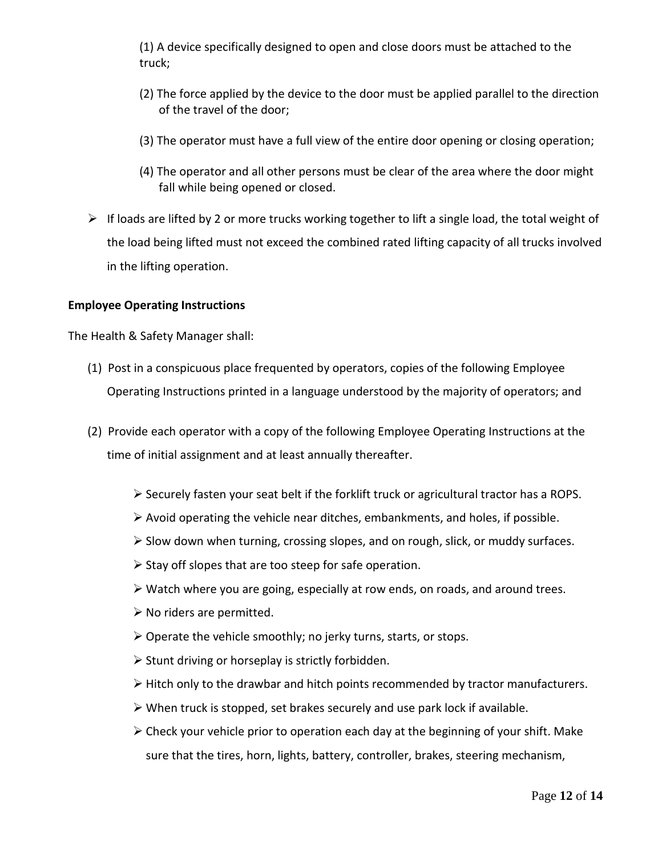(1) A device specifically designed to open and close doors must be attached to the truck;

- (2) The force applied by the device to the door must be applied parallel to the direction of the travel of the door;
- (3) The operator must have a full view of the entire door opening or closing operation;
- (4) The operator and all other persons must be clear of the area where the door might fall while being opened or closed.
- $\triangleright$  If loads are lifted by 2 or more trucks working together to lift a single load, the total weight of the load being lifted must not exceed the combined rated lifting capacity of all trucks involved in the lifting operation.

## **Employee Operating Instructions**

The Health & Safety Manager shall:

- (1) Post in a conspicuous place frequented by operators, copies of the following Employee Operating Instructions printed in a language understood by the majority of operators; and
- (2) Provide each operator with a copy of the following Employee Operating Instructions at the time of initial assignment and at least annually thereafter.
	- Securely fasten your seat belt if the forklift truck or agricultural tractor has a ROPS.
	- $\triangleright$  Avoid operating the vehicle near ditches, embankments, and holes, if possible.
	- $\triangleright$  Slow down when turning, crossing slopes, and on rough, slick, or muddy surfaces.
	- $\triangleright$  Stay off slopes that are too steep for safe operation.
	- Watch where you are going, especially at row ends, on roads, and around trees.
	- $\triangleright$  No riders are permitted.
	- $\triangleright$  Operate the vehicle smoothly; no jerky turns, starts, or stops.
	- $\triangleright$  Stunt driving or horseplay is strictly forbidden.
	- $\triangleright$  Hitch only to the drawbar and hitch points recommended by tractor manufacturers.
	- $\triangleright$  When truck is stopped, set brakes securely and use park lock if available.
	- $\triangleright$  Check your vehicle prior to operation each day at the beginning of your shift. Make sure that the tires, horn, lights, battery, controller, brakes, steering mechanism,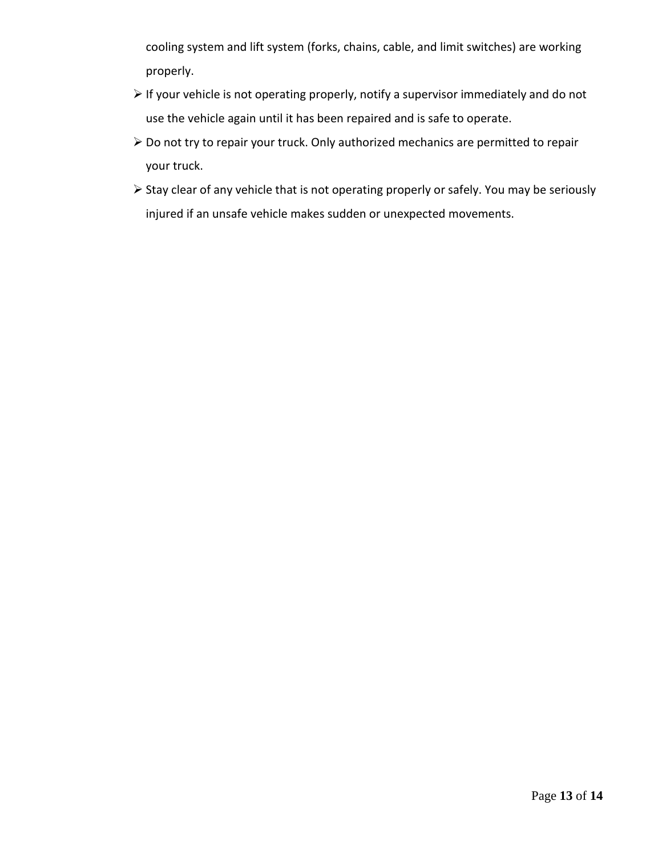cooling system and lift system (forks, chains, cable, and limit switches) are working properly.

- $\triangleright$  If your vehicle is not operating properly, notify a supervisor immediately and do not use the vehicle again until it has been repaired and is safe to operate.
- Do not try to repair your truck. Only authorized mechanics are permitted to repair your truck.
- Stay clear of any vehicle that is not operating properly or safely. You may be seriously injured if an unsafe vehicle makes sudden or unexpected movements.